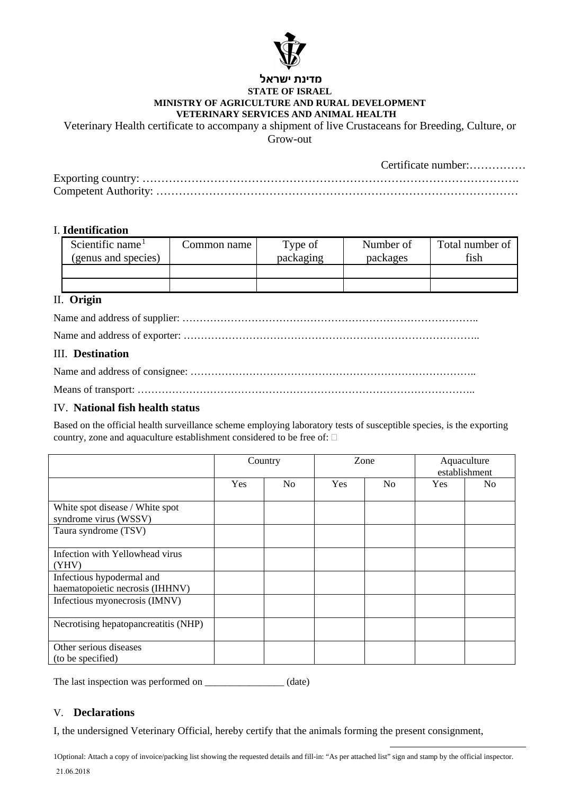

#### **מדינת ישראל STATE OF ISRAEL MINISTRY OF AGRICULTURE AND RURAL DEVELOPMENT VETERINARY SERVICES AND ANIMAL HEALTH**

Veterinary Health certificate to accompany a shipment of live Crustaceans for Breeding, Culture, or

Grow-out

Certificate number:……………

#### I. **Identification**

| Scientific name <sup>1</sup> | Common name | Type of   | Number of | Total number of<br>fish |
|------------------------------|-------------|-----------|-----------|-------------------------|
| (genus and species)          |             | packaging | packages  |                         |
|                              |             |           |           |                         |
|                              |             |           |           |                         |

## II. **Origin**

## III. **Destination**

# IV. **National fish health status**

Based on the official health surveillance scheme employing laboratory tests of susceptible species, is the exporting country, zone and aquaculture establishment considered to be free of:

|                                                              | Country |                | Zone |                | Aquaculture<br>establishment |    |
|--------------------------------------------------------------|---------|----------------|------|----------------|------------------------------|----|
|                                                              | Yes     | N <sub>0</sub> | Yes  | N <sub>o</sub> | <b>Yes</b>                   | No |
| White spot disease / White spot<br>syndrome virus (WSSV)     |         |                |      |                |                              |    |
| Taura syndrome (TSV)                                         |         |                |      |                |                              |    |
| Infection with Yellowhead virus<br>(YHV)                     |         |                |      |                |                              |    |
| Infectious hypodermal and<br>haematopoietic necrosis (IHHNV) |         |                |      |                |                              |    |
| Infectious myonecrosis (IMNV)                                |         |                |      |                |                              |    |
| Necrotising hepatopancreatitis (NHP)                         |         |                |      |                |                              |    |
| Other serious diseases<br>(to be specified)                  |         |                |      |                |                              |    |

The last inspection was performed on \_\_\_\_\_\_\_\_\_\_\_\_\_\_\_\_\_ (date)

#### V. **Declarations**

I, the undersigned Veterinary Official, hereby certify that the animals forming the present consignment,

1Optional: Attach a copy of invoice/packing list showing the requested details and fill-in: "As per attached list" sign and stamp by the official inspector.